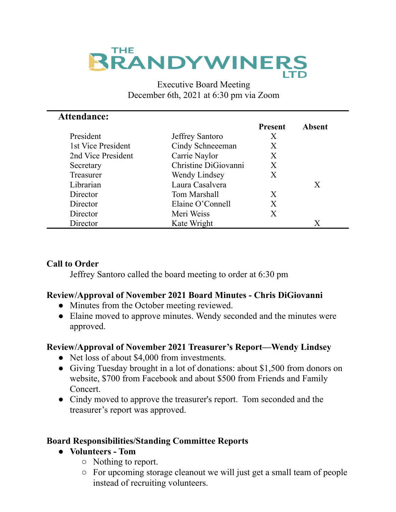# **THE RANDYWINERS**

#### Executive Board Meeting December 6th, 2021 at 6:30 pm via Zoom

| <b>Attendance:</b> |                        |                |               |
|--------------------|------------------------|----------------|---------------|
|                    |                        | <b>Present</b> | <b>Absent</b> |
| President          | <b>Jeffrey Santoro</b> | X              |               |
| 1st Vice President | Cindy Schneeeman       | Χ              |               |
| 2nd Vice President | Carrie Naylor          | X              |               |
| Secretary          | Christine DiGiovanni   | X              |               |
| Treasurer          | Wendy Lindsey          | X              |               |
| Librarian          | Laura Casalvera        |                | X             |
| Director           | Tom Marshall           | X              |               |
| Director           | Elaine O'Connell       | X              |               |
| Director           | Meri Weiss             | X              |               |
| Director           | Kate Wright            |                | Х             |

## **Call to Order**

Jeffrey Santoro called the board meeting to order at 6:30 pm

## **Review/Approval of November 2021 Board Minutes - Chris DiGiovanni**

- Minutes from the October meeting reviewed.
- Elaine moved to approve minutes. Wendy seconded and the minutes were approved.

## **Review/Approval of November 2021 Treasurer's Report—Wendy Lindsey**

- Net loss of about \$4,000 from investments.
- Giving Tuesday brought in a lot of donations: about \$1,500 from donors on website, \$700 from Facebook and about \$500 from Friends and Family Concert.
- Cindy moved to approve the treasurer's report. Tom seconded and the treasurer's report was approved.

## **Board Responsibilities/Standing Committee Reports**

- **● Volunteers - Tom**
	- Nothing to report.
	- For upcoming storage cleanout we will just get a small team of people instead of recruiting volunteers.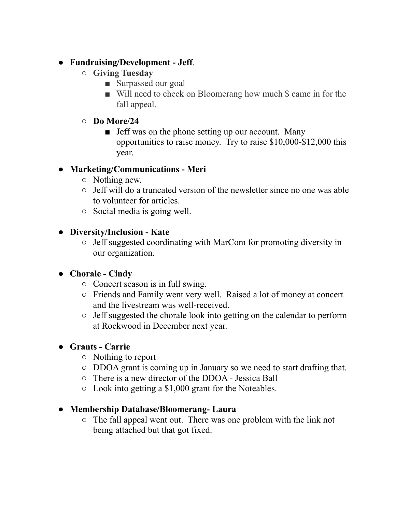## **● Fundraising/Development - Jeff**.

- **○ Giving Tuesday**
	- Surpassed our goal
	- Will need to check on Bloomerang how much \$ came in for the fall appeal.

## **○ Do More/24**

■ Jeff was on the phone setting up our account. Many opportunities to raise money. Try to raise \$10,000-\$12,000 this year.

# **● Marketing/Communications - Meri**

- Nothing new.
- Jeff will do a truncated version of the newsletter since no one was able to volunteer for articles.
- Social media is going well.

## **● Diversity/Inclusion - Kate**

○ Jeff suggested coordinating with MarCom for promoting diversity in our organization.

# **● Chorale - Cindy**

- Concert season is in full swing.
- Friends and Family went very well. Raised a lot of money at concert and the livestream was well-received.
- Jeff suggested the chorale look into getting on the calendar to perform at Rockwood in December next year.

# **● Grants - Carrie**

- Nothing to report
- DDOA grant is coming up in January so we need to start drafting that.
- There is a new director of the DDOA Jessica Ball
- $\circ$  Look into getting a \$1,000 grant for the Noteables.

## **● Membership Database/Bloomerang- Laura**

○ The fall appeal went out. There was one problem with the link not being attached but that got fixed.